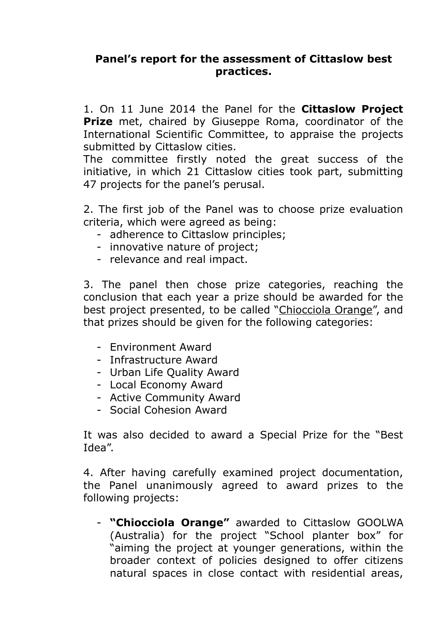## **Panel's report for the assessment of Cittaslow best practices.**

1. On 11 June 2014 the Panel for the **Cittaslow Project Prize** met, chaired by Giuseppe Roma, coordinator of the International Scientific Committee, to appraise the projects submitted by Cittaslow cities.

The committee firstly noted the great success of the initiative, in which 21 Cittaslow cities took part, submitting 47 projects for the panel's perusal.

2. The first job of the Panel was to choose prize evaluation criteria, which were agreed as being:

- adherence to Cittaslow principles;
- innovative nature of project;
- relevance and real impact.

3. The panel then chose prize categories, reaching the conclusion that each year a prize should be awarded for the best project presented, to be called "Chiocciola Orange", and that prizes should be given for the following categories:

- Environment Award
- Infrastructure Award
- Urban Life Quality Award
- Local Economy Award
- Active Community Award
- Social Cohesion Award

It was also decided to award a Special Prize for the "Best Idea".

4. After having carefully examined project documentation, the Panel unanimously agreed to award prizes to the following projects:

- **"Chiocciola Orange"** awarded to Cittaslow GOOLWA (Australia) for the project "School planter box" for "aiming the project at younger generations, within the broader context of policies designed to offer citizens natural spaces in close contact with residential areas,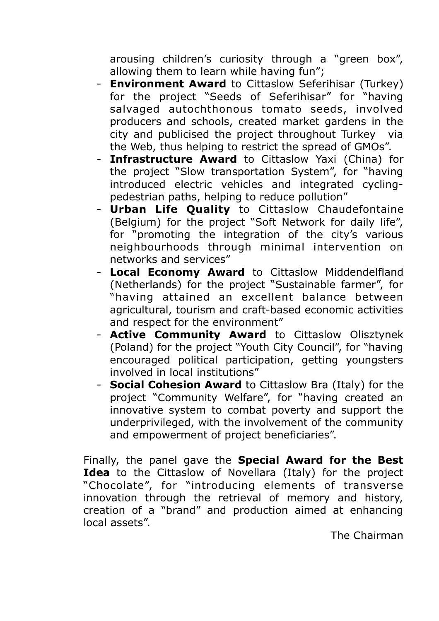arousing children's curiosity through a "green box", allowing them to learn while having fun";

- **Environment Award** to Cittaslow Seferihisar (Turkey) for the project "Seeds of Seferihisar" for "having salvaged autochthonous tomato seeds, involved producers and schools, created market gardens in the city and publicised the project throughout Turkey via the Web, thus helping to restrict the spread of GMOs".
- **Infrastructure Award** to Cittaslow Yaxi (China) for the project "Slow transportation System", for "having introduced electric vehicles and integrated cyclingpedestrian paths, helping to reduce pollution"
- **Urban Life Quality** to Cittaslow Chaudefontaine (Belgium) for the project "Soft Network for daily life", for "promoting the integration of the city's various neighbourhoods through minimal intervention on networks and services"
- **Local Economy Award** to Cittaslow Middendelfland (Netherlands) for the project "Sustainable farmer", for "having attained an excellent balance between agricultural, tourism and craft-based economic activities and respect for the environment"
- **Active Community Award** to Cittaslow Olisztynek (Poland) for the project "Youth City Council", for "having encouraged political participation, getting youngsters involved in local institutions"
- **Social Cohesion Award** to Cittaslow Bra (Italy) for the project "Community Welfare", for "having created an innovative system to combat poverty and support the underprivileged, with the involvement of the community and empowerment of project beneficiaries".

Finally, the panel gave the **Special Award for the Best Idea** to the Cittaslow of Novellara (Italy) for the project "Chocolate", for "introducing elements of transverse innovation through the retrieval of memory and history, creation of a "brand" and production aimed at enhancing local assets".

The Chairman